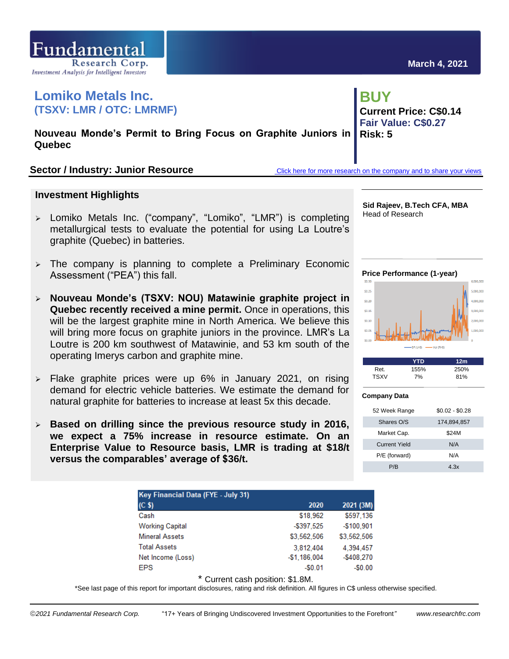

# **Lomiko Metals Inc. (TSXV: LMR / OTC: LMRMF)**

**Nouveau Monde's Permit to Bring Focus on Graphite Juniors in Quebec** 

## Sector / Industry: Junior Resource<br> **Sector / Industry: Junior Resource**<br> **[Click here for more research on the company and to share your views](https://www.researchfrc.com/website/company/lomiko-metals-inc/)**

## **Investment Highlights**

- ➢ Lomiko Metals Inc. ("company", "Lomiko", "LMR") is completing metallurgical tests to evaluate the potential for using La Loutre's graphite (Quebec) in batteries.
- $\geq$  The company is planning to complete a Preliminary Economic Assessment ("PEA") this fall.
- ➢ **Nouveau Monde's (TSXV: NOU) Matawinie graphite project in Quebec recently received a mine permit.** Once in operations, this will be the largest graphite mine in North America. We believe this will bring more focus on graphite juniors in the province. LMR's La Loutre is 200 km southwest of Matawinie, and 53 km south of the operating Imerys carbon and graphite mine.
- $\ge$  Flake graphite prices were up 6% in January 2021, on rising demand for electric vehicle batteries. We estimate the demand for natural graphite for batteries to increase at least 5x this decade.
- ➢ **Based on drilling since the previous resource study in 2016, we expect a 75% increase in resource estimate. On an Enterprise Value to Resource basis, LMR is trading at \$18/t versus the comparables' average of \$36/t.**

| <b>Key Financial Data (FYE - July 31)</b> |               |             |  |  |  |  |
|-------------------------------------------|---------------|-------------|--|--|--|--|
| (C <sub>s</sub> )                         | 2020          | 2021 (3M)   |  |  |  |  |
| Cash                                      | \$18,962      | \$597.136   |  |  |  |  |
| <b>Working Capital</b>                    | $-$ \$397.525 | $-$100,901$ |  |  |  |  |
| <b>Mineral Assets</b>                     | \$3,562,506   | \$3,562,506 |  |  |  |  |
| <b>Total Assets</b>                       | 3.812.404     | 4.394.457   |  |  |  |  |
| Net Income (Loss)                         | $-$1,186,004$ | $-$408.270$ |  |  |  |  |
| <b>EPS</b>                                | $-50.01$      | $-50.00$    |  |  |  |  |

\* Current cash position: \$1.8M.

\*See last page of this report for important disclosures, rating and risk definition. All figures in C\$ unless otherwise specified.

**BUY Current Price: C\$0.14 Fair Value: C\$0.27 Risk: 5**

**\_\_\_**

**Sid Rajeev, B.Tech CFA, MBA** Head of Research





|             | YTD  | 12 <sub>m</sub> |
|-------------|------|-----------------|
| Ret.        | 155% | 250%            |
| <b>TSXV</b> | 7%   | 81%             |

#### **Company Data**

| 52 Week Range        | $$0.02 - $0.28$ |
|----------------------|-----------------|
| Shares O/S           | 174,894,857     |
| Market Cap.          | \$24M           |
| <b>Current Yield</b> | N/A             |
| P/E (forward)        | N/A             |
| P/B                  | 4.3x            |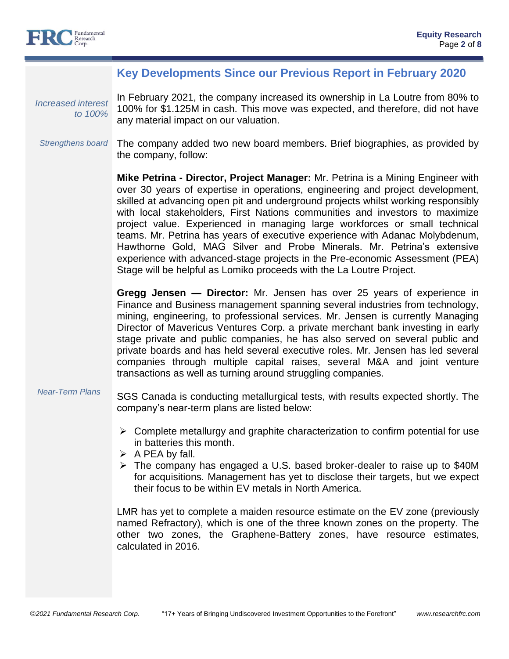

## **Key Developments Since our Previous Report in February 2020**

*Increased interest to 100%*

In February 2021, the company increased its ownership in La Loutre from 80% to 100% for \$1.125M in cash. This move was expected, and therefore, did not have any material impact on our valuation.

#### *Strengthens board* The company added two new board members. Brief biographies, as provided by the company, follow:

**Mike Petrina - Director, Project Manager:** Mr. Petrina is a Mining Engineer with over 30 years of expertise in operations, engineering and project development, skilled at advancing open pit and underground projects whilst working responsibly with local stakeholders, First Nations communities and investors to maximize project value. Experienced in managing large workforces or small technical teams. Mr. Petrina has years of executive experience with Adanac Molybdenum, Hawthorne Gold, MAG Silver and Probe Minerals. Mr. Petrina's extensive experience with advanced-stage projects in the Pre-economic Assessment (PEA) Stage will be helpful as Lomiko proceeds with the La Loutre Project.

**Gregg Jensen — Director:** Mr. Jensen has over 25 years of experience in Finance and Business management spanning several industries from technology, mining, engineering, to professional services. Mr. Jensen is currently Managing Director of Mavericus Ventures Corp. a private merchant bank investing in early stage private and public companies, he has also served on several public and private boards and has held several executive roles. Mr. Jensen has led several companies through multiple capital raises, several M&A and joint venture transactions as well as turning around struggling companies.

- *Near-Term Plans* SGS Canada is conducting metallurgical tests, with results expected shortly. The company's near-term plans are listed below:
	- $\triangleright$  Complete metallurgy and graphite characterization to confirm potential for use in batteries this month.
	- $\triangleright$  A PEA by fall.
	- ➢ The company has engaged a U.S. based broker-dealer to raise up to \$40M for acquisitions. Management has yet to disclose their targets, but we expect their focus to be within EV metals in North America.

LMR has yet to complete a maiden resource estimate on the EV zone (previously named Refractory), which is one of the three known zones on the property. The other two zones, the Graphene-Battery zones, have resource estimates, calculated in 2016.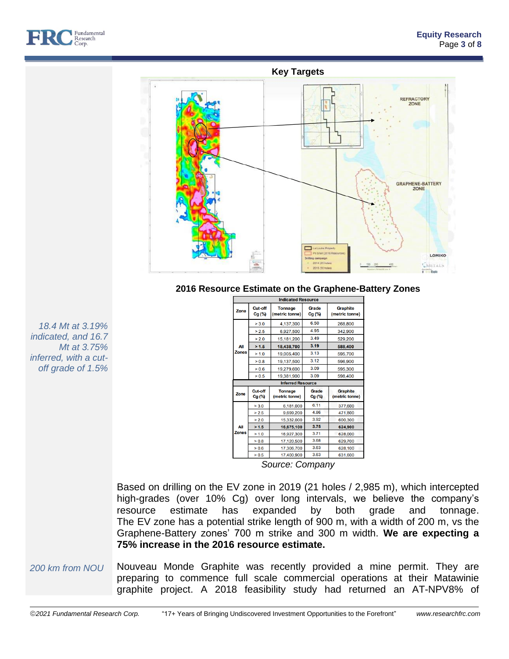



### **2016 Resource Estimate on the Graphene-Battery Zones**

| <b>Indicated Resource</b> |                     |                                  |                   |                                   |  |  |
|---------------------------|---------------------|----------------------------------|-------------------|-----------------------------------|--|--|
| Zone                      | Cut-off<br>$Cg(\%)$ | <b>Tonnage</b><br>(metric tonne) | Grade<br>$Cg$ (%) | <b>Graphite</b><br>(metric tonne) |  |  |
|                           | > 3.0               | 4,137,300                        | 6.50              | 268,800                           |  |  |
|                           | > 2.5               | 6,927,500                        | 4.95              | 342,900                           |  |  |
|                           | > 2.0               | 15,181,200                       | 3.49              | 529,200                           |  |  |
| All                       | > 1.5               | 18,438,700                       | 3.19              | 588,400                           |  |  |
| <b>Zones</b>              | > 1.0               | 19,005,400                       | 3.13              | 595,700                           |  |  |
|                           | > 0.8               | 19,137,500                       | 3.12              | 596,900                           |  |  |
|                           | > 0.6               | 19,279,600                       | 3.09              | 595,300                           |  |  |
|                           | > 0.5               | 3.09<br>19,381,900               |                   | 598,400                           |  |  |
|                           |                     | <b>Inferred Resource</b>         |                   |                                   |  |  |
| Zone                      | Cut-off<br>$Cg$ (%) | <b>Tonnage</b><br>(metric tonne) | Grade<br>Cg (%)   | <b>Graphite</b><br>(metric tonne) |  |  |
|                           | > 3.0<br>6,181,000  |                                  | 6.11              | 377,600                           |  |  |
|                           | > 2.5               | 9.699.200                        | 4.86              | 471,800                           |  |  |
|                           | > 2.0<br>15,332,000 |                                  | 3.92              | 600,300                           |  |  |
| All                       | > 1.5               | 16,675,100                       | 3.75              | 624,900                           |  |  |
| <b>Zones</b>              | > 1.0               | 16,927,300                       | 3.71              | 628,000                           |  |  |
|                           | > 0.8               | 17,120,500                       | 3.68              | 629,700                           |  |  |
|                           | > 0.6               | 17,306,700                       | 3.63              | 628,100                           |  |  |
|                           | > 0.5               | 17,400,900                       | 3.63              | 631,600                           |  |  |

*indicated, and 16.7 Mt at 3.75% inferred, with a cutoff grade of 1.5%*

*18.4 Mt at 3.19%* 

*Source: Company*

Based on drilling on the EV zone in 2019 (21 holes / 2,985 m), which intercepted high-grades (over 10% Cg) over long intervals, we believe the company's resource estimate has expanded by both grade and tonnage. The EV zone has a potential strike length of 900 m, with a width of 200 m, vs the Graphene-Battery zones' 700 m strike and 300 m width. **We are expecting a 75% increase in the 2016 resource estimate.**

*200 km from NOU* Nouveau Monde Graphite was recently provided a mine permit. They are preparing to commence full scale commercial operations at their Matawinie graphite project. A 2018 feasibility study had returned an AT-NPV8% of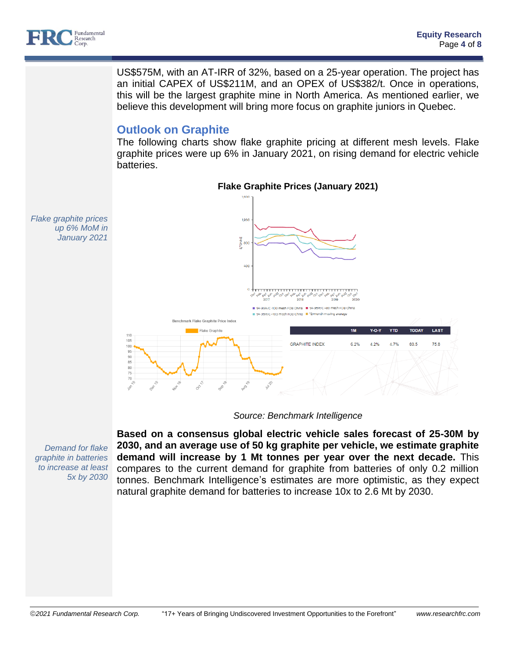

US\$575M, with an AT-IRR of 32%, based on a 25-year operation. The project has an initial CAPEX of US\$211M, and an OPEX of US\$382/t. Once in operations, this will be the largest graphite mine in North America. As mentioned earlier, we believe this development will bring more focus on graphite juniors in Quebec.

# **Outlook on Graphite**

The following charts show flake graphite pricing at different mesh levels. Flake graphite prices were up 6% in January 2021, on rising demand for electric vehicle batteries.



*Source: Benchmark Intelligence*

**Based on a consensus global electric vehicle sales forecast of 25-30M by 2030, and an average use of 50 kg graphite per vehicle, we estimate graphite demand will increase by 1 Mt tonnes per year over the next decade.** This compares to the current demand for graphite from batteries of only 0.2 million tonnes. Benchmark Intelligence's estimates are more optimistic, as they expect natural graphite demand for batteries to increase 10x to 2.6 Mt by 2030.

*Demand for flake graphite in batteries to increase at least 5x by 2030*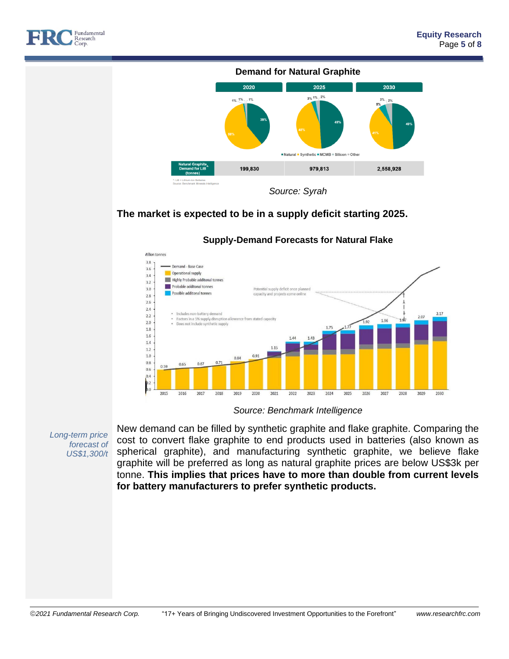





## **The market is expected to be in a supply deficit starting 2025.**



### **Supply-Demand Forecasts for Natural Flake**

*Source: Benchmark Intelligence*

*Long-term price forecast of US\$1,300/t*

New demand can be filled by synthetic graphite and flake graphite. Comparing the cost to convert flake graphite to end products used in batteries (also known as spherical graphite), and manufacturing synthetic graphite, we believe flake graphite will be preferred as long as natural graphite prices are below US\$3k per tonne. **This implies that prices have to more than double from current levels for battery manufacturers to prefer synthetic products.**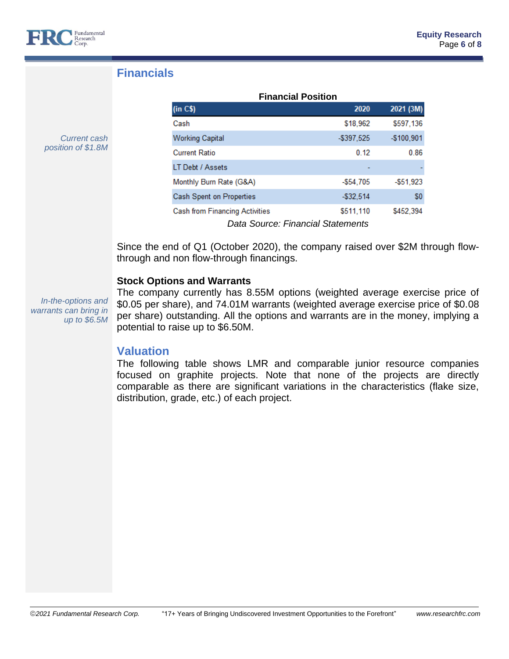

*Current cash position of \$1.8M*

# **Financials**

| <b>Financial Position</b>             |               |              |  |  |  |
|---------------------------------------|---------------|--------------|--|--|--|
| (in C\$)                              | 2020          | 2021 (3M)    |  |  |  |
| Cash                                  | \$18.962      | \$597,136    |  |  |  |
| <b>Working Capital</b>                | $-$ \$397.525 | $-$100,901$  |  |  |  |
| <b>Current Ratio</b>                  | 0.12          | 0.86         |  |  |  |
| LT Debt / Assets                      |               |              |  |  |  |
| Monthly Burn Rate (G&A)               | $-$ \$54.705  | $-$ \$51.923 |  |  |  |
| Cash Spent on Properties              | $-$ \$32,514  | \$0          |  |  |  |
| <b>Cash from Financing Activities</b> | \$511,110     | \$452,394    |  |  |  |
| Data Source: Financial Statements     |               |              |  |  |  |

Since the end of Q1 (October 2020), the company raised over \$2M through flowthrough and non flow-through financings.

## **Stock Options and Warrants**

*In-the-options and warrants can bring in up to \$6.5M*

The company currently has 8.55M options (weighted average exercise price of \$0.05 per share), and 74.01M warrants (weighted average exercise price of \$0.08 per share) outstanding. All the options and warrants are in the money, implying a potential to raise up to \$6.50M.

## **Valuation**

The following table shows LMR and comparable junior resource companies focused on graphite projects. Note that none of the projects are directly comparable as there are significant variations in the characteristics (flake size, distribution, grade, etc.) of each project.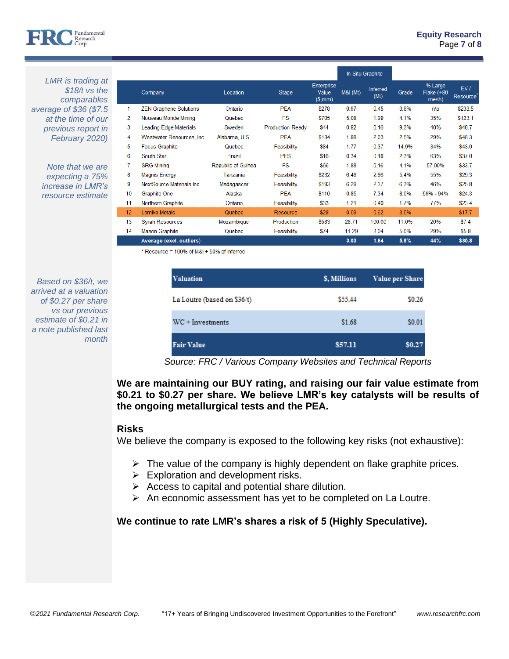

*LMR is trading at \$18/t vs the comparables average of \$36 (\$7.5 at the time of our previous report in February 2020)*

> *Note that we are expecting a 75% increase in LMR's resource estimate*

|                |                               |                    |                         |                               | In-Situ Graphite |                         |       |                                   |                        |
|----------------|-------------------------------|--------------------|-------------------------|-------------------------------|------------------|-------------------------|-------|-----------------------------------|------------------------|
|                | Company                       | Location           | Stage                   | Enterprise<br>Value<br>(S,mm) | M&I (Mt)         | <b>Inferred</b><br>(Mt) | Grade | % Large<br>Flake $(+80)$<br>mesh) | EV/<br><b>Resource</b> |
| 1              | <b>ZEN Graphene Solutions</b> | Ontario            | <b>PFA</b>              | \$278                         | 0.97             | 0.45                    | 3.6%  | n/a                               | \$233.5                |
| $\overline{2}$ | Nouveau Monde Mining          | Quebec             | <b>FS</b>               | \$705                         | 5.08             | 1.29                    | 4.1%  | 35%                               | \$123.1                |
| 3              | Leading Edge Materials        | Sweden             | <b>Production-Ready</b> | <b>\$44</b>                   | 0.82             | 0.16                    | 9.3%  | 40%                               | \$48.7                 |
| 4              | Westwater Resources, Inc.     | Alabama, U.S.      | <b>PEA</b>              | \$134                         | 1.88             | 2.03                    | 2.5%  | 29%                               | \$46.3                 |
| 5              | <b>Focus Graphite</b>         | Quebec             | Feasibility             | <b>\$84</b>                   | 1.77             | 0.37                    | 14.9% | 34%                               | \$43.0                 |
| 6              | South Star                    | <b>Brazil</b>      | <b>PFS</b>              | \$16                          | 0.34             | 0.18                    | 2.3%  | 63%                               | \$37.0                 |
| 7              | <b>SRG Mining</b>             | Republic of Guinea | <b>FS</b>               | \$66                          | 1.88             | 0.16                    | 4.1%  | 57.00%                            | \$33.7                 |
| 8              | <b>Magnis Energy</b>          | Tanzania           | Feasibility             | \$232                         | 6.48             | 2.86                    | 5.4%  | 55%                               | \$29.3                 |
| 9              | NextSource Materials Inc.     | Madagascar         | Feasibility             | \$193                         | 6.29             | 2.37                    | 6.3%  | 46%                               | \$25.8                 |
| 10             | <b>Graphite One</b>           | Alaska             | <b>PEA</b>              | \$110                         | 0.85             | 7.34                    | 8.0%  | 59% - 94%                         | \$24.3                 |
| 11             | Northern Graphite             | Ontario            | Feasibility             | \$33                          | 1.21             | 0.40                    | 1.7%  | 77%                               | \$23.4                 |
| 12             | Lomiko Metals                 | <b>Quebec</b>      | Resource                | \$28                          | 0.59             | 0.62                    | 3.5%  |                                   | \$17.7                 |
| 13             | <b>Syrah Resources</b>        | Mozambique         | Production              | \$583                         | 28.71            | 100.00                  | 11.0% | 20%                               | \$7.4                  |
| 14             | <b>Mason Graphite</b>         | Quebec             | Feasibility             | \$74                          | 11.29            | 3.04                    | 5.0%  | 29%                               | \$5.8                  |
|                | Average (excl. outliers)      |                    |                         |                               | 3.03             | 1.64                    | 5.8%  | 44%                               | \$35.8                 |

**Equity Research** Page **7** of **8**

\* Resource = 100% of M&I + 50% of Inferred

| Based on \$36/t, we    |
|------------------------|
| arrived at a valuation |
| of \$0.27 per share    |
| vs our previous        |
| estimate of \$0.21 in  |
| a note published last  |
| month                  |

| <b>Valuation</b>            | \$, Millions | <b>Value per Share</b> |
|-----------------------------|--------------|------------------------|
| La Loutre (based on \$36/t) | \$55.44      | \$0.26                 |
| $WC + Investments$          | \$1.68       | \$0.01                 |
| <b>Fair Value</b>           | \$57.11      | \$0.27                 |

*Source: FRC / Various Company Websites and Technical Reports*

**We are maintaining our BUY rating, and raising our fair value estimate from \$0.21 to \$0.27 per share. We believe LMR's key catalysts will be results of the ongoing metallurgical tests and the PEA.** 

### **Risks**

We believe the company is exposed to the following key risks (not exhaustive):

- $\triangleright$  The value of the company is highly dependent on flake graphite prices.
- $\triangleright$  Exploration and development risks.
- $\triangleright$  Access to capital and potential share dilution.
- $\triangleright$  An economic assessment has yet to be completed on La Loutre.

# **We continue to rate LMR's shares a risk of 5 (Highly Speculative).**